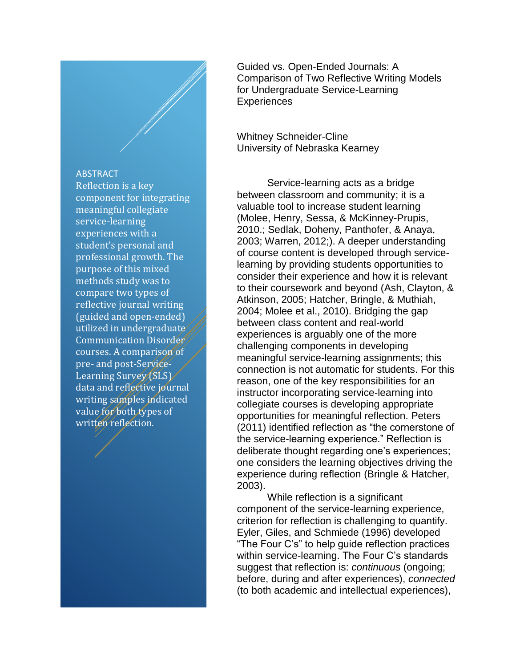#### ABSTRACT

Reflection is a key component for integrating meaningful collegiate service-learning experiences with a student's personal and professional growth. The purpose of this mixed methods study was to compare two types of reflective journal writing (guided and open-ended) utilized in undergraduate Communication Disorder courses. A comparison of pre- and post-Service-Learning Survey (SLS) data and reflective journal writing samples indicated value for both types of written reflection.

Guided vs. Open-Ended Journals: A Comparison of Two Reflective Writing Models for Undergraduate Service-Learning **Experiences** 

Whitney Schneider-Cline University of Nebraska Kearney

Service-learning acts as a bridge between classroom and community; it is a valuable tool to increase student learning (Molee, Henry, Sessa, & McKinney-Prupis, 2010.; Sedlak, Doheny, Panthofer, & Anaya, 2003; Warren, 2012;). A deeper understanding of course content is developed through servicelearning by providing students opportunities to consider their experience and how it is relevant to their coursework and beyond (Ash, Clayton, & Atkinson, 2005; Hatcher, Bringle, & Muthiah, 2004; Molee et al., 2010). Bridging the gap between class content and real-world experiences is arguably one of the more challenging components in developing meaningful service-learning assignments; this connection is not automatic for students. For this reason, one of the key responsibilities for an instructor incorporating service-learning into collegiate courses is developing appropriate opportunities for meaningful reflection. Peters (2011) identified reflection as "the cornerstone of the service-learning experience." Reflection is deliberate thought regarding one's experiences; one considers the learning objectives driving the experience during reflection (Bringle & Hatcher, 2003).

While reflection is a significant component of the service-learning experience, criterion for reflection is challenging to quantify. Eyler, Giles, and Schmiede (1996) developed "The Four C's" to help guide reflection practices within service-learning. The Four C's standards suggest that reflection is: *continuous* (ongoing; before, during and after experiences), *connected* (to both academic and intellectual experiences),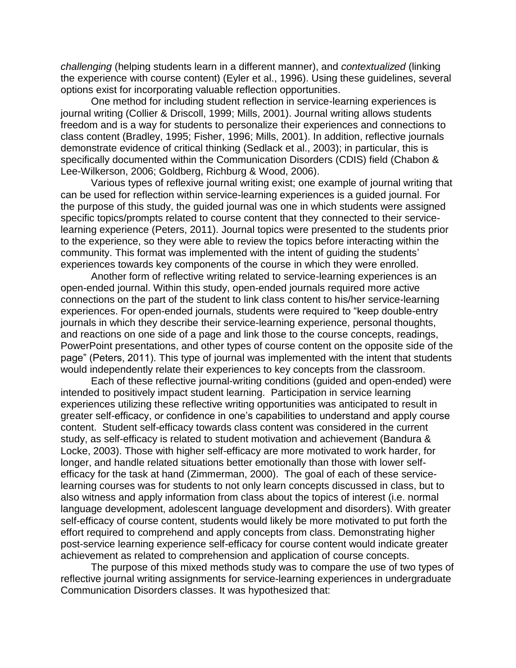*challenging* (helping students learn in a different manner), and *contextualized* (linking the experience with course content) (Eyler et al., 1996). Using these guidelines, several options exist for incorporating valuable reflection opportunities.

One method for including student reflection in service-learning experiences is journal writing (Collier & Driscoll, 1999; Mills, 2001). Journal writing allows students freedom and is a way for students to personalize their experiences and connections to class content (Bradley, 1995; Fisher, 1996; Mills, 2001). In addition, reflective journals demonstrate evidence of critical thinking (Sedlack et al., 2003); in particular, this is specifically documented within the Communication Disorders (CDIS) field (Chabon & Lee-Wilkerson, 2006; Goldberg, Richburg & Wood, 2006).

Various types of reflexive journal writing exist; one example of journal writing that can be used for reflection within service-learning experiences is a guided journal. For the purpose of this study, the guided journal was one in which students were assigned specific topics/prompts related to course content that they connected to their servicelearning experience (Peters, 2011). Journal topics were presented to the students prior to the experience, so they were able to review the topics before interacting within the community. This format was implemented with the intent of guiding the students' experiences towards key components of the course in which they were enrolled.

Another form of reflective writing related to service-learning experiences is an open-ended journal. Within this study, open-ended journals required more active connections on the part of the student to link class content to his/her service-learning experiences. For open-ended journals, students were required to "keep double-entry journals in which they describe their service-learning experience, personal thoughts, and reactions on one side of a page and link those to the course concepts, readings, PowerPoint presentations, and other types of course content on the opposite side of the page" (Peters, 2011). This type of journal was implemented with the intent that students would independently relate their experiences to key concepts from the classroom.

Each of these reflective journal-writing conditions (guided and open-ended) were intended to positively impact student learning. Participation in service learning experiences utilizing these reflective writing opportunities was anticipated to result in greater self-efficacy, or confidence in one's capabilities to understand and apply course content. Student self-efficacy towards class content was considered in the current study, as self-efficacy is related to student motivation and achievement (Bandura & Locke, 2003). Those with higher self-efficacy are more motivated to work harder, for longer, and handle related situations better emotionally than those with lower selfefficacy for the task at hand (Zimmerman, 2000). The goal of each of these servicelearning courses was for students to not only learn concepts discussed in class, but to also witness and apply information from class about the topics of interest (i.e. normal language development, adolescent language development and disorders). With greater self-efficacy of course content, students would likely be more motivated to put forth the effort required to comprehend and apply concepts from class. Demonstrating higher post-service learning experience self-efficacy for course content would indicate greater achievement as related to comprehension and application of course concepts.

The purpose of this mixed methods study was to compare the use of two types of reflective journal writing assignments for service-learning experiences in undergraduate Communication Disorders classes. It was hypothesized that: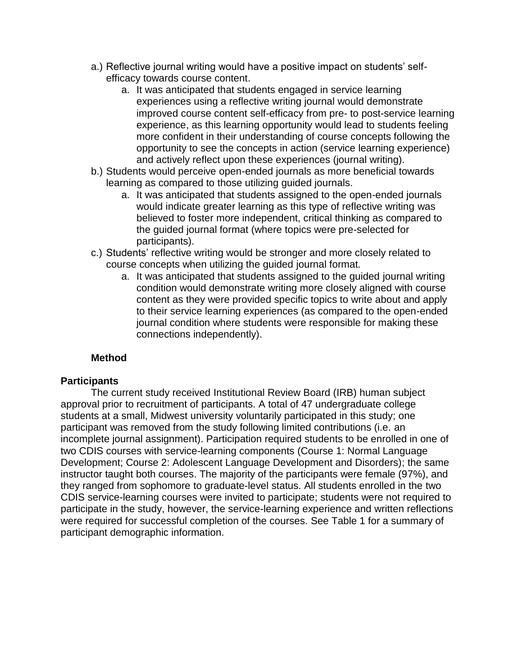- a.) Reflective journal writing would have a positive impact on students' selfefficacy towards course content.
	- a. It was anticipated that students engaged in service learning experiences using a reflective writing journal would demonstrate improved course content self-efficacy from pre- to post-service learning experience, as this learning opportunity would lead to students feeling more confident in their understanding of course concepts following the opportunity to see the concepts in action (service learning experience) and actively reflect upon these experiences (journal writing).
- b.) Students would perceive open-ended journals as more beneficial towards learning as compared to those utilizing guided journals.
	- a. It was anticipated that students assigned to the open-ended journals would indicate greater learning as this type of reflective writing was believed to foster more independent, critical thinking as compared to the guided journal format (where topics were pre-selected for participants).
- c.) Students' reflective writing would be stronger and more closely related to course concepts when utilizing the guided journal format.
	- a. It was anticipated that students assigned to the guided journal writing condition would demonstrate writing more closely aligned with course content as they were provided specific topics to write about and apply to their service learning experiences (as compared to the open-ended journal condition where students were responsible for making these connections independently).

## **Method**

## **Participants**

The current study received Institutional Review Board (IRB) human subject approval prior to recruitment of participants. A total of 47 undergraduate college students at a small, Midwest university voluntarily participated in this study; one participant was removed from the study following limited contributions (i.e. an incomplete journal assignment). Participation required students to be enrolled in one of two CDIS courses with service-learning components (Course 1: Normal Language Development; Course 2: Adolescent Language Development and Disorders); the same instructor taught both courses. The majority of the participants were female (97%), and they ranged from sophomore to graduate-level status. All students enrolled in the two CDIS service-learning courses were invited to participate; students were not required to participate in the study, however, the service-learning experience and written reflections were required for successful completion of the courses. See Table 1 for a summary of participant demographic information.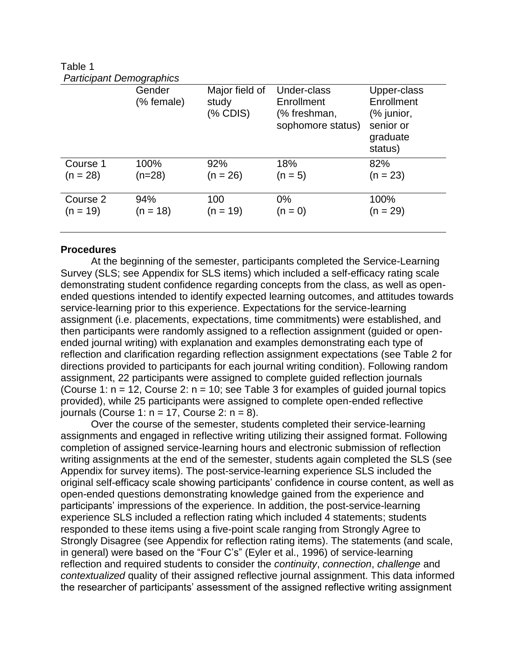Table 1 *Participant Demographics*

|            | Gender<br>(% female) | Major field of<br>study<br>$%$ CDIS) | Under-class<br>Enrollment<br>(% freshman,<br>sophomore status) | Upper-class<br>Enrollment<br>(% junior,<br>senior or<br>graduate<br>status) |
|------------|----------------------|--------------------------------------|----------------------------------------------------------------|-----------------------------------------------------------------------------|
| Course 1   | 100%                 | 92%                                  | 18%                                                            | 82%                                                                         |
| $(n = 28)$ | $(n=28)$             | $(n = 26)$                           | $(n = 5)$                                                      | $(n = 23)$                                                                  |
| Course 2   | 94%                  | 100                                  | $0\%$                                                          | 100%                                                                        |
| $(n = 19)$ | $(n = 18)$           | $(n = 19)$                           | $(n = 0)$                                                      | $(n = 29)$                                                                  |

#### **Procedures**

At the beginning of the semester, participants completed the Service-Learning Survey (SLS; see Appendix for SLS items) which included a self-efficacy rating scale demonstrating student confidence regarding concepts from the class, as well as openended questions intended to identify expected learning outcomes, and attitudes towards service-learning prior to this experience. Expectations for the service-learning assignment (i.e. placements, expectations, time commitments) were established, and then participants were randomly assigned to a reflection assignment (guided or openended journal writing) with explanation and examples demonstrating each type of reflection and clarification regarding reflection assignment expectations (see Table 2 for directions provided to participants for each journal writing condition). Following random assignment, 22 participants were assigned to complete guided reflection journals (Course 1:  $n = 12$ , Course 2:  $n = 10$ ; see Table 3 for examples of guided journal topics provided), while 25 participants were assigned to complete open-ended reflective journals (Course 1:  $n = 17$ , Course 2:  $n = 8$ ).

Over the course of the semester, students completed their service-learning assignments and engaged in reflective writing utilizing their assigned format. Following completion of assigned service-learning hours and electronic submission of reflection writing assignments at the end of the semester, students again completed the SLS (see Appendix for survey items). The post-service-learning experience SLS included the original self-efficacy scale showing participants' confidence in course content, as well as open-ended questions demonstrating knowledge gained from the experience and participants' impressions of the experience. In addition, the post-service-learning experience SLS included a reflection rating which included 4 statements; students responded to these items using a five-point scale ranging from Strongly Agree to Strongly Disagree (see Appendix for reflection rating items). The statements (and scale, in general) were based on the "Four C's" (Eyler et al., 1996) of service-learning reflection and required students to consider the *continuity*, *connection*, *challenge* and *contextualized* quality of their assigned reflective journal assignment. This data informed the researcher of participants' assessment of the assigned reflective writing assignment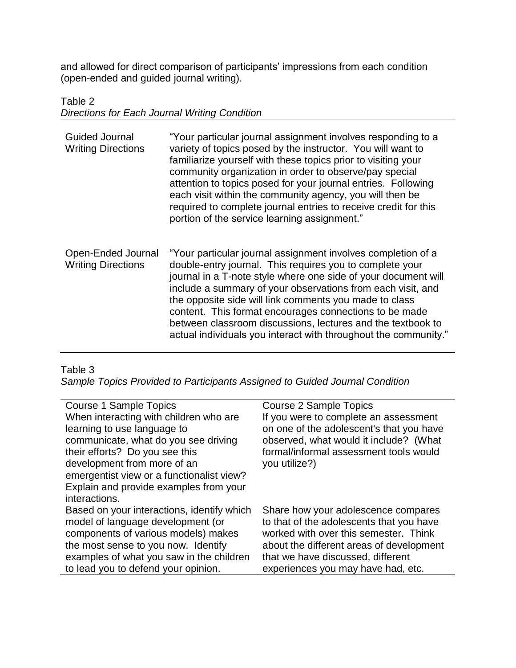and allowed for direct comparison of participants' impressions from each condition (open-ended and guided journal writing).

# Table 2 *Directions for Each Journal Writing Condition*

| <b>Guided Journal</b><br><b>Writing Directions</b> | "Your particular journal assignment involves responding to a<br>variety of topics posed by the instructor. You will want to<br>familiarize yourself with these topics prior to visiting your<br>community organization in order to observe/pay special<br>attention to topics posed for your journal entries. Following<br>each visit within the community agency, you will then be<br>required to complete journal entries to receive credit for this<br>portion of the service learning assignment."          |
|----------------------------------------------------|-----------------------------------------------------------------------------------------------------------------------------------------------------------------------------------------------------------------------------------------------------------------------------------------------------------------------------------------------------------------------------------------------------------------------------------------------------------------------------------------------------------------|
| Open-Ended Journal<br><b>Writing Directions</b>    | "Your particular journal assignment involves completion of a<br>double-entry journal. This requires you to complete your<br>journal in a T-note style where one side of your document will<br>include a summary of your observations from each visit, and<br>the opposite side will link comments you made to class<br>content. This format encourages connections to be made<br>between classroom discussions, lectures and the textbook to<br>actual individuals you interact with throughout the community." |

## Table 3

*Sample Topics Provided to Participants Assigned to Guided Journal Condition*

| Course 1 Sample Topics                     | <b>Course 2 Sample Topics</b>            |
|--------------------------------------------|------------------------------------------|
| When interacting with children who are     | If you were to complete an assessment    |
| learning to use language to                | on one of the adolescent's that you have |
| communicate, what do you see driving       | observed, what would it include? (What   |
| their efforts? Do you see this             | formal/informal assessment tools would   |
| development from more of an                | you utilize?)                            |
| emergentist view or a functionalist view?  |                                          |
| Explain and provide examples from your     |                                          |
| interactions.                              |                                          |
| Based on your interactions, identify which | Share how your adolescence compares      |
| model of language development (or          | to that of the adolescents that you have |
| components of various models) makes        | worked with over this semester. Think    |
| the most sense to you now. Identify        | about the different areas of development |
| examples of what you saw in the children   | that we have discussed, different        |
| to lead you to defend your opinion.        | experiences you may have had, etc.       |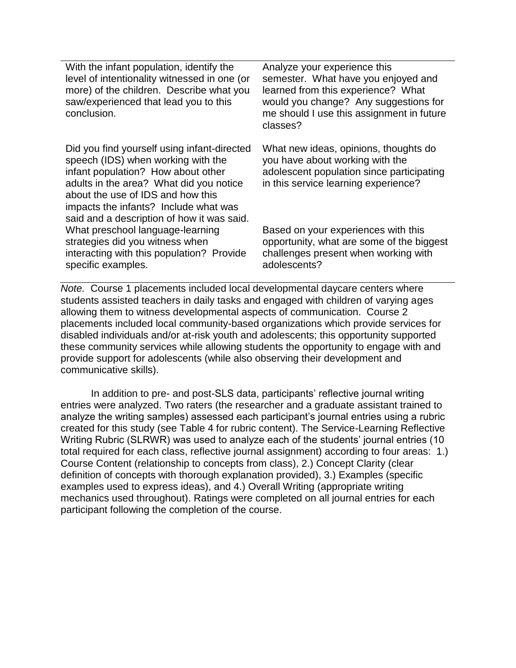With the infant population, identify the level of intentionality witnessed in one (or more) of the children. Describe what you saw/experienced that lead you to this conclusion.

Did you find yourself using infant-directed speech (IDS) when working with the infant population? How about other adults in the area? What did you notice about the use of IDS and how this impacts the infants? Include what was said and a description of how it was said. What preschool language-learning strategies did you witness when interacting with this population? Provide specific examples.

Analyze your experience this semester. What have you enjoyed and learned from this experience? What would you change? Any suggestions for me should I use this assignment in future classes?

What new ideas, opinions, thoughts do you have about working with the adolescent population since participating in this service learning experience?

Based on your experiences with this opportunity, what are some of the biggest challenges present when working with adolescents?

*Note.* Course 1 placements included local developmental daycare centers where students assisted teachers in daily tasks and engaged with children of varying ages allowing them to witness developmental aspects of communication. Course 2 placements included local community-based organizations which provide services for disabled individuals and/or at-risk youth and adolescents; this opportunity supported these community services while allowing students the opportunity to engage with and provide support for adolescents (while also observing their development and communicative skills).

In addition to pre- and post-SLS data, participants' reflective journal writing entries were analyzed. Two raters (the researcher and a graduate assistant trained to analyze the writing samples) assessed each participant's journal entries using a rubric created for this study (see Table 4 for rubric content). The Service-Learning Reflective Writing Rubric (SLRWR) was used to analyze each of the students' journal entries (10 total required for each class, reflective journal assignment) according to four areas: 1.) Course Content (relationship to concepts from class), 2.) Concept Clarity (clear definition of concepts with thorough explanation provided), 3.) Examples (specific examples used to express ideas), and 4.) Overall Writing (appropriate writing mechanics used throughout). Ratings were completed on all journal entries for each participant following the completion of the course.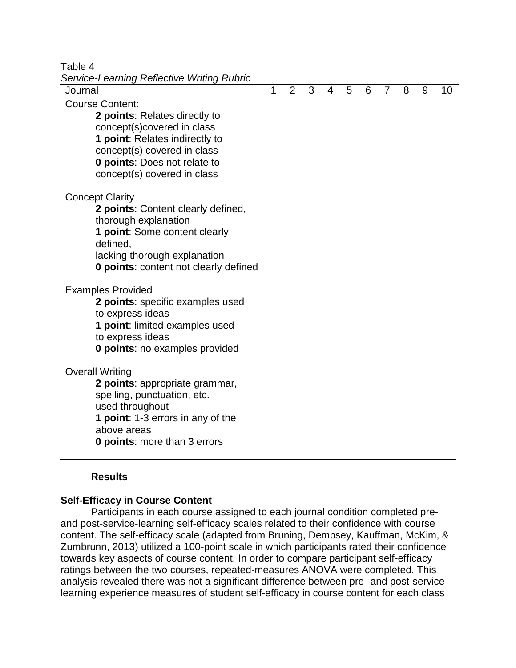Table 4

| Service-Learning Reflective Writing Rubric   |   |   |   |                |   |   |                |   |   |    |
|----------------------------------------------|---|---|---|----------------|---|---|----------------|---|---|----|
| Journal                                      | 1 | 2 | 3 | $\overline{4}$ | 5 | 6 | $\overline{7}$ | 8 | 9 | 10 |
| <b>Course Content:</b>                       |   |   |   |                |   |   |                |   |   |    |
| 2 points: Relates directly to                |   |   |   |                |   |   |                |   |   |    |
| concept(s)covered in class                   |   |   |   |                |   |   |                |   |   |    |
| <b>1 point:</b> Relates indirectly to        |   |   |   |                |   |   |                |   |   |    |
| concept(s) covered in class                  |   |   |   |                |   |   |                |   |   |    |
| <b>0 points: Does not relate to</b>          |   |   |   |                |   |   |                |   |   |    |
| concept(s) covered in class                  |   |   |   |                |   |   |                |   |   |    |
| <b>Concept Clarity</b>                       |   |   |   |                |   |   |                |   |   |    |
| 2 points: Content clearly defined,           |   |   |   |                |   |   |                |   |   |    |
| thorough explanation                         |   |   |   |                |   |   |                |   |   |    |
| 1 point: Some content clearly                |   |   |   |                |   |   |                |   |   |    |
| defined,                                     |   |   |   |                |   |   |                |   |   |    |
| lacking thorough explanation                 |   |   |   |                |   |   |                |   |   |    |
| <b>0 points: content not clearly defined</b> |   |   |   |                |   |   |                |   |   |    |
| <b>Examples Provided</b>                     |   |   |   |                |   |   |                |   |   |    |
| 2 points: specific examples used             |   |   |   |                |   |   |                |   |   |    |
| to express ideas                             |   |   |   |                |   |   |                |   |   |    |
| 1 point: limited examples used               |   |   |   |                |   |   |                |   |   |    |
| to express ideas                             |   |   |   |                |   |   |                |   |   |    |
| <b>0 points:</b> no examples provided        |   |   |   |                |   |   |                |   |   |    |
| <b>Overall Writing</b>                       |   |   |   |                |   |   |                |   |   |    |
| 2 points: appropriate grammar,               |   |   |   |                |   |   |                |   |   |    |
| spelling, punctuation, etc.                  |   |   |   |                |   |   |                |   |   |    |
| used throughout                              |   |   |   |                |   |   |                |   |   |    |
| 1 point: 1-3 errors in any of the            |   |   |   |                |   |   |                |   |   |    |
| above areas                                  |   |   |   |                |   |   |                |   |   |    |
| <b>0 points:</b> more than 3 errors          |   |   |   |                |   |   |                |   |   |    |

#### **Results**

#### **Self-Efficacy in Course Content**

Participants in each course assigned to each journal condition completed preand post-service-learning self-efficacy scales related to their confidence with course content. The self-efficacy scale (adapted from Bruning, Dempsey, Kauffman, McKim, & Zumbrunn, 2013) utilized a 100-point scale in which participants rated their confidence towards key aspects of course content. In order to compare participant self-efficacy ratings between the two courses, repeated-measures ANOVA were completed. This analysis revealed there was not a significant difference between pre- and post-servicelearning experience measures of student self-efficacy in course content for each class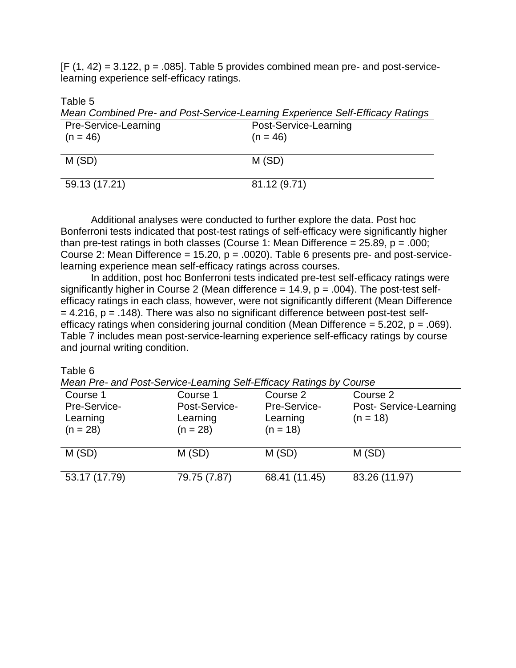$[F (1, 42) = 3.122, p = .085]$ . Table 5 provides combined mean pre- and post-servicelearning experience self-efficacy ratings.

Table 5

| Mean Combined Pre- and Post-Service-Learning Experience Self-Efficacy Ratings |                       |  |  |  |
|-------------------------------------------------------------------------------|-----------------------|--|--|--|
| Pre-Service-Learning                                                          | Post-Service-Learning |  |  |  |
| $(n = 46)$                                                                    | $(n = 46)$            |  |  |  |
|                                                                               |                       |  |  |  |
| M(SD)                                                                         | M(SD)                 |  |  |  |
|                                                                               |                       |  |  |  |
| 59.13 (17.21)                                                                 | 81.12 (9.71)          |  |  |  |
|                                                                               |                       |  |  |  |

Additional analyses were conducted to further explore the data. Post hoc Bonferroni tests indicated that post-test ratings of self-efficacy were significantly higher than pre-test ratings in both classes (Course 1: Mean Difference =  $25.89$ ,  $p = .000$ ; Course 2: Mean Difference = 15.20,  $p = .0020$ ). Table 6 presents pre- and post-servicelearning experience mean self-efficacy ratings across courses.

In addition, post hoc Bonferroni tests indicated pre-test self-efficacy ratings were significantly higher in Course 2 (Mean difference =  $14.9$ ,  $p = .004$ ). The post-test selfefficacy ratings in each class, however, were not significantly different (Mean Difference  $= 4.216$ ,  $p = .148$ ). There was also no significant difference between post-test selfefficacy ratings when considering journal condition (Mean Difference =  $5.202$ ,  $p = .069$ ). Table 7 includes mean post-service-learning experience self-efficacy ratings by course and journal writing condition.

Table 6

*Mean Pre- and Post-Service-Learning Self-Efficacy Ratings by Course*

|                                        | modiff to dird took corrido Lodiffing con Emodoy Ramigo by Codico |                                        |                                      |
|----------------------------------------|-------------------------------------------------------------------|----------------------------------------|--------------------------------------|
| Course 1                               | Course 1                                                          | Course 2                               | Course 2                             |
| Pre-Service-<br>Learning<br>$(n = 28)$ | Post-Service-<br>Learning<br>$(n = 28)$                           | Pre-Service-<br>Learning<br>$(n = 18)$ | Post- Service-Learning<br>$(n = 18)$ |
| M(SD)                                  | M(SD)                                                             | M(SD)                                  | M(SD)                                |
| 53.17 (17.79)                          | 79.75 (7.87)                                                      | 68.41 (11.45)                          | 83.26 (11.97)                        |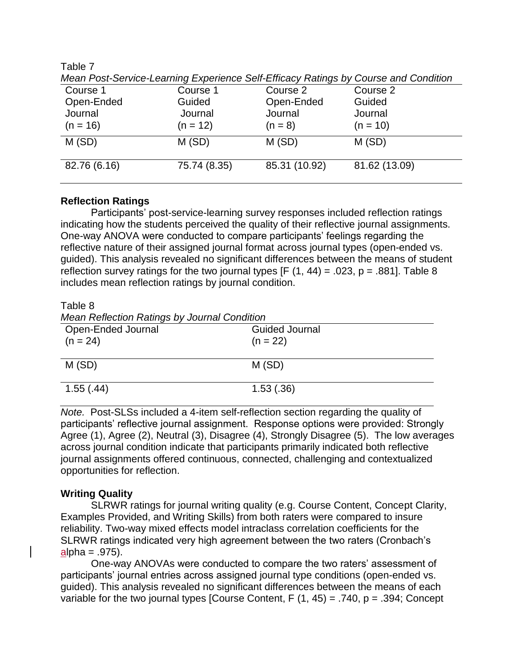Table 7

| Course 1     | Course 1     | Course 2      | Course 2      |
|--------------|--------------|---------------|---------------|
| Open-Ended   | Guided       | Open-Ended    | Guided        |
| Journal      | Journal      | Journal       | Journal       |
| $(n = 16)$   | $(n = 12)$   | $(n = 8)$     | $(n = 10)$    |
| M(SD)        | M(SD)        | M(SD)         | M(SD)         |
| 82.76 (6.16) | 75.74 (8.35) | 85.31 (10.92) | 81.62 (13.09) |

*Mean Post-Service-Learning Experience Self-Efficacy Ratings by Course and Condition*

## **Reflection Ratings**

Participants' post-service-learning survey responses included reflection ratings indicating how the students perceived the quality of their reflective journal assignments. One-way ANOVA were conducted to compare participants' feelings regarding the reflective nature of their assigned journal format across journal types (open-ended vs. guided). This analysis revealed no significant differences between the means of student reflection survey ratings for the two journal types  $[F (1, 44) = .023, p = .881]$ . Table 8 includes mean reflection ratings by journal condition.

Table 8

*Mean Reflection Ratings by Journal Condition*

| Open-Ended Journal<br>$(n = 24)$ | <b>Guided Journal</b><br>$(n = 22)$ |
|----------------------------------|-------------------------------------|
| M(SD)                            | M(SD)                               |
| 1.55(.44)                        | 1.53(.36)                           |

*Note.* Post-SLSs included a 4-item self-reflection section regarding the quality of participants' reflective journal assignment. Response options were provided: Strongly Agree (1), Agree (2), Neutral (3), Disagree (4), Strongly Disagree (5). The low averages across journal condition indicate that participants primarily indicated both reflective journal assignments offered continuous, connected, challenging and contextualized opportunities for reflection.

## **Writing Quality**

SLRWR ratings for journal writing quality (e.g. Course Content, Concept Clarity, Examples Provided, and Writing Skills) from both raters were compared to insure reliability. Two-way mixed effects model intraclass correlation coefficients for the SLRWR ratings indicated very high agreement between the two raters (Cronbach's  $alpha = .975$ ).

One-way ANOVAs were conducted to compare the two raters' assessment of participants' journal entries across assigned journal type conditions (open-ended vs. guided). This analysis revealed no significant differences between the means of each variable for the two journal types [Course Content, F  $(1, 45) = .740$ , p = .394; Concept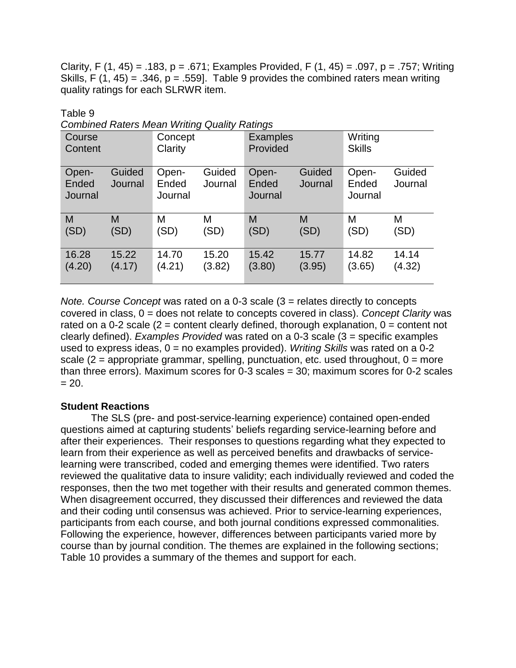Clarity, F (1, 45) = .183, p = .671; Examples Provided, F (1, 45) = .097, p = .757; Writing Skills, F (1, 45) = .346,  $p = .559$ . Table 9 provides the combined raters mean writing quality ratings for each SLRWR item.

Table 9

*Combined Raters Mean Writing Quality Ratings*

| Course<br>Content         |                   | Concept<br>Clarity        |                   | - ت<br><b>Examples</b><br>Provided |                   | Writing<br><b>Skills</b>  |                   |
|---------------------------|-------------------|---------------------------|-------------------|------------------------------------|-------------------|---------------------------|-------------------|
| Open-<br>Ended<br>Journal | Guided<br>Journal | Open-<br>Ended<br>Journal | Guided<br>Journal | Open-<br>Ended<br>Journal          | Guided<br>Journal | Open-<br>Ended<br>Journal | Guided<br>Journal |
| M                         | M                 | M                         | М                 | M                                  | M                 | M                         | М                 |
| (SD)                      | (SD)              | (SD)                      | (SD)              | (SD)                               | (SD)              | (SD)                      | (SD)              |
| 16.28                     | 15.22             | 14.70                     | 15.20             | 15.42                              | 15.77             | 14.82                     | 14.14             |
| (4.20)                    | (4.17)            | (4.21)                    | (3.82)            | (3.80)                             | (3.95)            | (3.65)                    | (4.32)            |

*Note. Course Concept* was rated on a 0-3 scale (3 = relates directly to concepts covered in class, 0 = does not relate to concepts covered in class). *Concept Clarity* was rated on a 0-2 scale ( $2$  = content clearly defined, thorough explanation,  $0$  = content not clearly defined). *Examples Provided* was rated on a 0-3 scale (3 = specific examples used to express ideas, 0 = no examples provided). *Writing Skills* was rated on a 0-2 scale  $(2 =$  appropriate grammar, spelling, punctuation, etc. used throughout,  $0 =$  more than three errors). Maximum scores for 0-3 scales = 30; maximum scores for 0-2 scales  $= 20.$ 

## **Student Reactions**

The SLS (pre- and post-service-learning experience) contained open-ended questions aimed at capturing students' beliefs regarding service-learning before and after their experiences. Their responses to questions regarding what they expected to learn from their experience as well as perceived benefits and drawbacks of servicelearning were transcribed, coded and emerging themes were identified. Two raters reviewed the qualitative data to insure validity; each individually reviewed and coded the responses, then the two met together with their results and generated common themes. When disagreement occurred, they discussed their differences and reviewed the data and their coding until consensus was achieved. Prior to service-learning experiences, participants from each course, and both journal conditions expressed commonalities. Following the experience, however, differences between participants varied more by course than by journal condition. The themes are explained in the following sections; Table 10 provides a summary of the themes and support for each.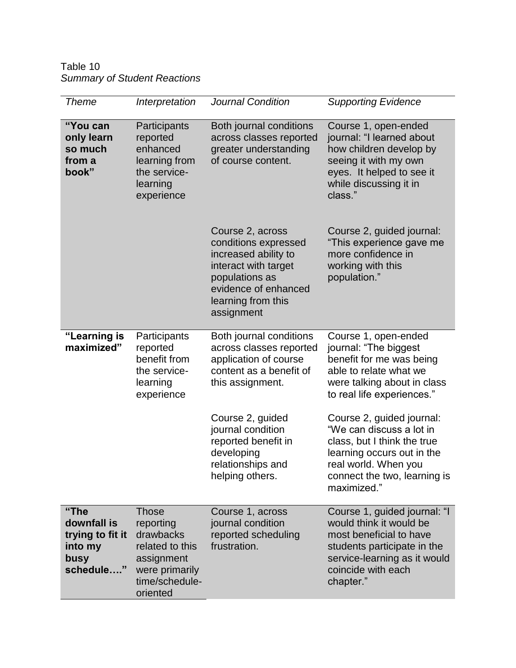Table 10 *Summary of Student Reactions*

| <b>Theme</b>                                                            | Interpretation                                                                                                          | <b>Journal Condition</b>                                                                                                                                               | <b>Supporting Evidence</b>                                                                                                                                                                |
|-------------------------------------------------------------------------|-------------------------------------------------------------------------------------------------------------------------|------------------------------------------------------------------------------------------------------------------------------------------------------------------------|-------------------------------------------------------------------------------------------------------------------------------------------------------------------------------------------|
| "You can<br>only learn<br>so much<br>from a<br>book"                    | Participants<br>reported<br>enhanced<br>learning from<br>the service-<br>learning<br>experience                         | Both journal conditions<br>across classes reported<br>greater understanding<br>of course content.                                                                      | Course 1, open-ended<br>journal: "I learned about<br>how children develop by<br>seeing it with my own<br>eyes. It helped to see it<br>while discussing it in<br>class."                   |
|                                                                         |                                                                                                                         | Course 2, across<br>conditions expressed<br>increased ability to<br>interact with target<br>populations as<br>evidence of enhanced<br>learning from this<br>assignment | Course 2, guided journal:<br>"This experience gave me<br>more confidence in<br>working with this<br>population."                                                                          |
| "Learning is<br>maximized"                                              | Participants<br>reported<br>benefit from<br>the service-<br>learning<br>experience                                      | Both journal conditions<br>across classes reported<br>application of course<br>content as a benefit of<br>this assignment.                                             | Course 1, open-ended<br>journal: "The biggest<br>benefit for me was being<br>able to relate what we<br>were talking about in class<br>to real life experiences."                          |
|                                                                         |                                                                                                                         | Course 2, guided<br>journal condition<br>reported benefit in<br>developing<br>relationships and<br>helping others.                                                     | Course 2, guided journal:<br>"We can discuss a lot in<br>class, but I think the true<br>learning occurs out in the<br>real world. When you<br>connect the two, learning is<br>maximized." |
| "The<br>downfall is<br>trying to fit it<br>into my<br>busy<br>schedule" | <b>Those</b><br>reporting<br>drawbacks<br>related to this<br>assignment<br>were primarily<br>time/schedule-<br>oriented | Course 1, across<br>journal condition<br>reported scheduling<br>frustration.                                                                                           | Course 1, guided journal: "I<br>would think it would be<br>most beneficial to have<br>students participate in the<br>service-learning as it would<br>coincide with each<br>chapter."      |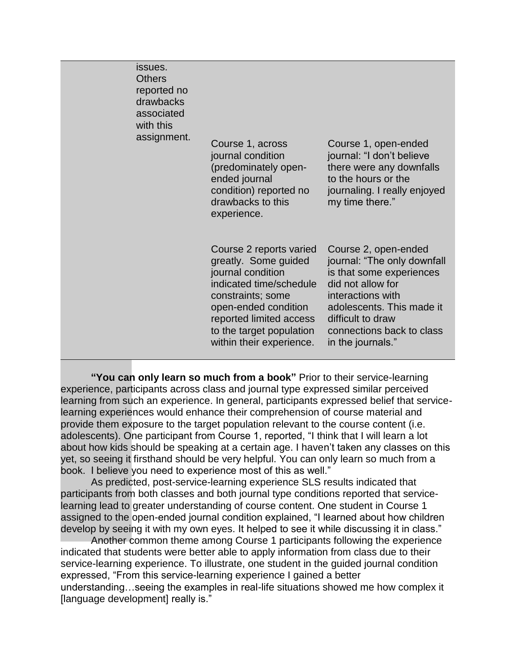| issues.<br><b>Others</b><br>reported no<br>drawbacks<br>associated<br>with this<br>assignment. | Course 1, across<br>journal condition<br>(predominately open-<br>ended journal<br>condition) reported no<br>drawbacks to this<br>experience.                                                                                    | Course 1, open-ended<br>journal: "I don't believe<br>there were any downfalls<br>to the hours or the<br>journaling. I really enjoyed<br>my time there."                                                                       |
|------------------------------------------------------------------------------------------------|---------------------------------------------------------------------------------------------------------------------------------------------------------------------------------------------------------------------------------|-------------------------------------------------------------------------------------------------------------------------------------------------------------------------------------------------------------------------------|
|                                                                                                | Course 2 reports varied<br>greatly. Some guided<br>journal condition<br>indicated time/schedule<br>constraints; some<br>open-ended condition<br>reported limited access<br>to the target population<br>within their experience. | Course 2, open-ended<br>journal: "The only downfall<br>is that some experiences<br>did not allow for<br>interactions with<br>adolescents. This made it<br>difficult to draw<br>connections back to class<br>in the journals." |

**"You can only learn so much from a book"** Prior to their service-learning experience, participants across class and journal type expressed similar perceived learning from such an experience. In general, participants expressed belief that servicelearning experiences would enhance their comprehension of course material and provide them exposure to the target population relevant to the course content (i.e. adolescents). One participant from Course 1, reported, "I think that I will learn a lot about how kids should be speaking at a certain age. I haven't taken any classes on this yet, so seeing it firsthand should be very helpful. You can only learn so much from a book. I believe you need to experience most of this as well."

As predicted, post-service-learning experience SLS results indicated that participants from both classes and both journal type conditions reported that servicelearning lead to greater understanding of course content. One student in Course 1 assigned to the open-ended journal condition explained, "I learned about how children develop by seeing it with my own eyes. It helped to see it while discussing it in class."

Another common theme among Course 1 participants following the experience indicated that students were better able to apply information from class due to their service-learning experience. To illustrate, one student in the guided journal condition expressed, "From this service-learning experience I gained a better understanding…seeing the examples in real-life situations showed me how complex it [language development] really is."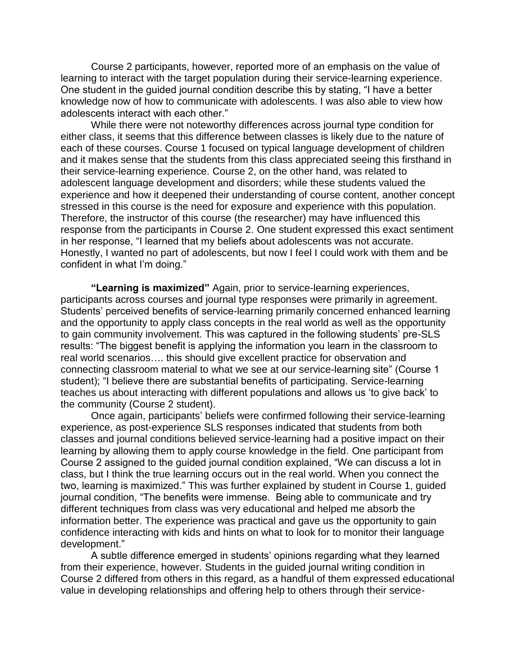Course 2 participants, however, reported more of an emphasis on the value of learning to interact with the target population during their service-learning experience. One student in the guided journal condition describe this by stating, "I have a better knowledge now of how to communicate with adolescents. I was also able to view how adolescents interact with each other."

While there were not noteworthy differences across journal type condition for either class, it seems that this difference between classes is likely due to the nature of each of these courses. Course 1 focused on typical language development of children and it makes sense that the students from this class appreciated seeing this firsthand in their service-learning experience. Course 2, on the other hand, was related to adolescent language development and disorders; while these students valued the experience and how it deepened their understanding of course content, another concept stressed in this course is the need for exposure and experience with this population. Therefore, the instructor of this course (the researcher) may have influenced this response from the participants in Course 2. One student expressed this exact sentiment in her response, "I learned that my beliefs about adolescents was not accurate. Honestly, I wanted no part of adolescents, but now I feel I could work with them and be confident in what I'm doing."

**"Learning is maximized"** Again, prior to service-learning experiences, participants across courses and journal type responses were primarily in agreement. Students' perceived benefits of service-learning primarily concerned enhanced learning and the opportunity to apply class concepts in the real world as well as the opportunity to gain community involvement. This was captured in the following students' pre-SLS results: "The biggest benefit is applying the information you learn in the classroom to real world scenarios…. this should give excellent practice for observation and connecting classroom material to what we see at our service-learning site" (Course 1 student); "I believe there are substantial benefits of participating. Service-learning teaches us about interacting with different populations and allows us 'to give back' to the community (Course 2 student).

Once again, participants' beliefs were confirmed following their service-learning experience, as post-experience SLS responses indicated that students from both classes and journal conditions believed service-learning had a positive impact on their learning by allowing them to apply course knowledge in the field. One participant from Course 2 assigned to the guided journal condition explained, "We can discuss a lot in class, but I think the true learning occurs out in the real world. When you connect the two, learning is maximized." This was further explained by student in Course 1, guided journal condition, "The benefits were immense. Being able to communicate and try different techniques from class was very educational and helped me absorb the information better. The experience was practical and gave us the opportunity to gain confidence interacting with kids and hints on what to look for to monitor their language development."

A subtle difference emerged in students' opinions regarding what they learned from their experience, however. Students in the guided journal writing condition in Course 2 differed from others in this regard, as a handful of them expressed educational value in developing relationships and offering help to others through their service-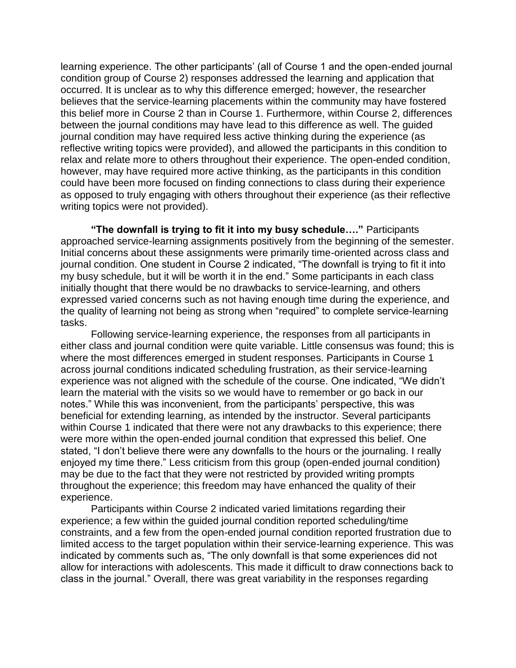learning experience. The other participants' (all of Course 1 and the open-ended journal condition group of Course 2) responses addressed the learning and application that occurred. It is unclear as to why this difference emerged; however, the researcher believes that the service-learning placements within the community may have fostered this belief more in Course 2 than in Course 1. Furthermore, within Course 2, differences between the journal conditions may have lead to this difference as well. The guided journal condition may have required less active thinking during the experience (as reflective writing topics were provided), and allowed the participants in this condition to relax and relate more to others throughout their experience. The open-ended condition, however, may have required more active thinking, as the participants in this condition could have been more focused on finding connections to class during their experience as opposed to truly engaging with others throughout their experience (as their reflective writing topics were not provided).

**"The downfall is trying to fit it into my busy schedule…."** Participants approached service-learning assignments positively from the beginning of the semester. Initial concerns about these assignments were primarily time-oriented across class and journal condition. One student in Course 2 indicated, "The downfall is trying to fit it into my busy schedule, but it will be worth it in the end." Some participants in each class initially thought that there would be no drawbacks to service-learning, and others expressed varied concerns such as not having enough time during the experience, and the quality of learning not being as strong when "required" to complete service-learning tasks.

Following service-learning experience, the responses from all participants in either class and journal condition were quite variable. Little consensus was found; this is where the most differences emerged in student responses. Participants in Course 1 across journal conditions indicated scheduling frustration, as their service-learning experience was not aligned with the schedule of the course. One indicated, "We didn't learn the material with the visits so we would have to remember or go back in our notes." While this was inconvenient, from the participants' perspective, this was beneficial for extending learning, as intended by the instructor. Several participants within Course 1 indicated that there were not any drawbacks to this experience; there were more within the open-ended journal condition that expressed this belief. One stated, "I don't believe there were any downfalls to the hours or the journaling. I really enjoyed my time there." Less criticism from this group (open-ended journal condition) may be due to the fact that they were not restricted by provided writing prompts throughout the experience; this freedom may have enhanced the quality of their experience.

Participants within Course 2 indicated varied limitations regarding their experience; a few within the guided journal condition reported scheduling/time constraints, and a few from the open-ended journal condition reported frustration due to limited access to the target population within their service-learning experience. This was indicated by comments such as, "The only downfall is that some experiences did not allow for interactions with adolescents. This made it difficult to draw connections back to class in the journal." Overall, there was great variability in the responses regarding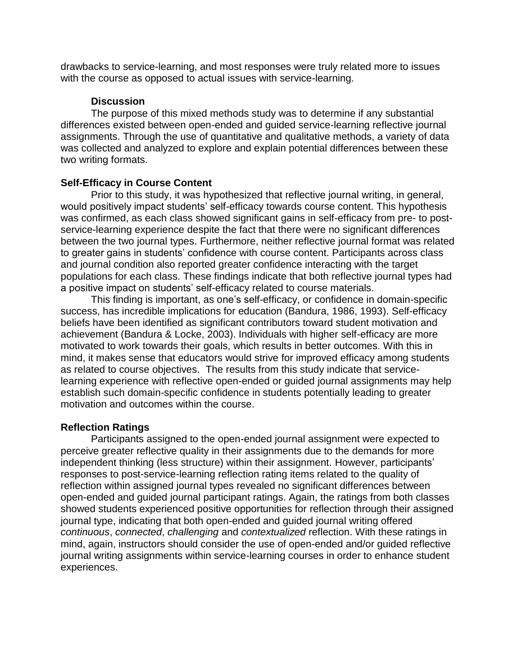drawbacks to service-learning, and most responses were truly related more to issues with the course as opposed to actual issues with service-learning.

#### **Discussion**

The purpose of this mixed methods study was to determine if any substantial differences existed between open-ended and guided service-learning reflective journal assignments. Through the use of quantitative and qualitative methods, a variety of data was collected and analyzed to explore and explain potential differences between these two writing formats.

#### **Self-Efficacy in Course Content**

Prior to this study, it was hypothesized that reflective journal writing, in general, would positively impact students' self-efficacy towards course content. This hypothesis was confirmed, as each class showed significant gains in self-efficacy from pre- to postservice-learning experience despite the fact that there were no significant differences between the two journal types. Furthermore, neither reflective journal format was related to greater gains in students' confidence with course content. Participants across class and journal condition also reported greater confidence interacting with the target populations for each class. These findings indicate that both reflective journal types had a positive impact on students' self-efficacy related to course materials.

This finding is important, as one's self-efficacy, or confidence in domain-specific success, has incredible implications for education (Bandura, 1986, 1993). Self-efficacy beliefs have been identified as significant contributors toward student motivation and achievement (Bandura & Locke, 2003). Individuals with higher self-efficacy are more motivated to work towards their goals, which results in better outcomes. With this in mind, it makes sense that educators would strive for improved efficacy among students as related to course objectives. The results from this study indicate that servicelearning experience with reflective open-ended or guided journal assignments may help establish such domain-specific confidence in students potentially leading to greater motivation and outcomes within the course.

## **Reflection Ratings**

Participants assigned to the open-ended journal assignment were expected to perceive greater reflective quality in their assignments due to the demands for more independent thinking (less structure) within their assignment. However, participants' responses to post-service-learning reflection rating items related to the quality of reflection within assigned journal types revealed no significant differences between open-ended and guided journal participant ratings. Again, the ratings from both classes showed students experienced positive opportunities for reflection through their assigned journal type, indicating that both open-ended and guided journal writing offered *continuous*, *connected*, *challenging* and *contextualized* reflection. With these ratings in mind, again, instructors should consider the use of open-ended and/or guided reflective journal writing assignments within service-learning courses in order to enhance student experiences.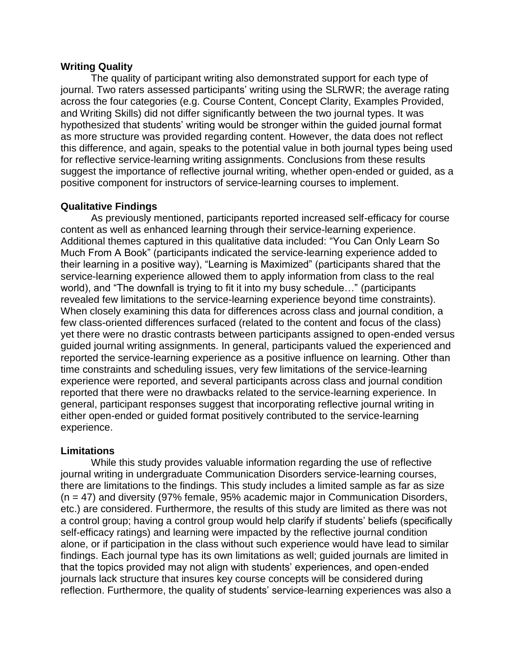#### **Writing Quality**

The quality of participant writing also demonstrated support for each type of journal. Two raters assessed participants' writing using the SLRWR; the average rating across the four categories (e.g. Course Content, Concept Clarity, Examples Provided, and Writing Skills) did not differ significantly between the two journal types. It was hypothesized that students' writing would be stronger within the guided journal format as more structure was provided regarding content. However, the data does not reflect this difference, and again, speaks to the potential value in both journal types being used for reflective service-learning writing assignments. Conclusions from these results suggest the importance of reflective journal writing, whether open-ended or guided, as a positive component for instructors of service-learning courses to implement.

#### **Qualitative Findings**

As previously mentioned, participants reported increased self-efficacy for course content as well as enhanced learning through their service-learning experience. Additional themes captured in this qualitative data included: "You Can Only Learn So Much From A Book" (participants indicated the service-learning experience added to their learning in a positive way), "Learning is Maximized" (participants shared that the service-learning experience allowed them to apply information from class to the real world), and "The downfall is trying to fit it into my busy schedule…" (participants revealed few limitations to the service-learning experience beyond time constraints). When closely examining this data for differences across class and journal condition, a few class-oriented differences surfaced (related to the content and focus of the class) yet there were no drastic contrasts between participants assigned to open-ended versus guided journal writing assignments. In general, participants valued the experienced and reported the service-learning experience as a positive influence on learning. Other than time constraints and scheduling issues, very few limitations of the service-learning experience were reported, and several participants across class and journal condition reported that there were no drawbacks related to the service-learning experience. In general, participant responses suggest that incorporating reflective journal writing in either open-ended or guided format positively contributed to the service-learning experience.

#### **Limitations**

While this study provides valuable information regarding the use of reflective journal writing in undergraduate Communication Disorders service-learning courses, there are limitations to the findings. This study includes a limited sample as far as size (n = 47) and diversity (97% female, 95% academic major in Communication Disorders, etc.) are considered. Furthermore, the results of this study are limited as there was not a control group; having a control group would help clarify if students' beliefs (specifically self-efficacy ratings) and learning were impacted by the reflective journal condition alone, or if participation in the class without such experience would have lead to similar findings. Each journal type has its own limitations as well; guided journals are limited in that the topics provided may not align with students' experiences, and open-ended journals lack structure that insures key course concepts will be considered during reflection. Furthermore, the quality of students' service-learning experiences was also a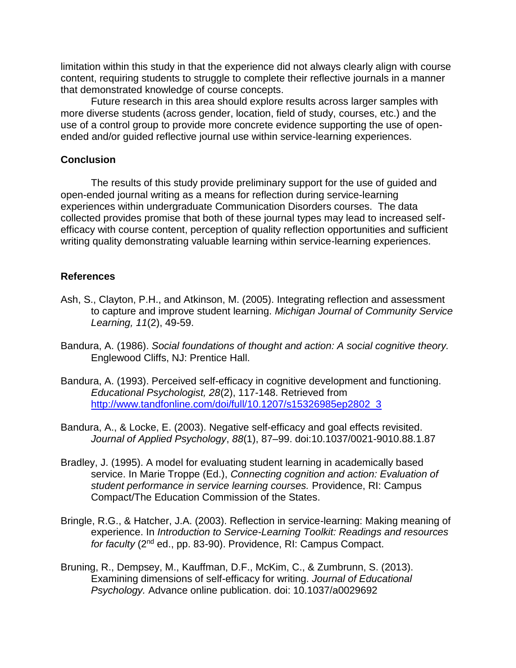limitation within this study in that the experience did not always clearly align with course content, requiring students to struggle to complete their reflective journals in a manner that demonstrated knowledge of course concepts.

Future research in this area should explore results across larger samples with more diverse students (across gender, location, field of study, courses, etc.) and the use of a control group to provide more concrete evidence supporting the use of openended and/or guided reflective journal use within service-learning experiences.

## **Conclusion**

The results of this study provide preliminary support for the use of guided and open-ended journal writing as a means for reflection during service-learning experiences within undergraduate Communication Disorders courses. The data collected provides promise that both of these journal types may lead to increased selfefficacy with course content, perception of quality reflection opportunities and sufficient writing quality demonstrating valuable learning within service-learning experiences.

## **References**

- Ash, S., Clayton, P.H., and Atkinson, M. (2005). Integrating reflection and assessment to capture and improve student learning. *Michigan Journal of Community Service Learning, 11*(2), 49-59.
- Bandura, A. (1986). *Social foundations of thought and action: A social cognitive theory.*  Englewood Cliffs, NJ: Prentice Hall.
- Bandura, A. (1993). Perceived self-efficacy in cognitive development and functioning. *Educational Psychologist, 28*(2), 117-148. Retrieved from [http://www.tandfonline.com/doi/full/10.1207/s15326985ep2802\\_3](http://www.tandfonline.com/doi/full/10.1207/s15326985ep2802_3)
- Bandura, A., & Locke, E. (2003). Negative self-efficacy and goal effects revisited. *Journal of Applied Psychology*, *88*(1), 87–99. doi:10.1037/0021-9010.88.1.87
- Bradley, J. (1995). A model for evaluating student learning in academically based service. In Marie Troppe (Ed.), *Connecting cognition and action: Evaluation of student performance in service learning courses.* Providence, RI: Campus Compact/The Education Commission of the States.
- Bringle, R.G., & Hatcher, J.A. (2003). Reflection in service-learning: Making meaning of experience. In *Introduction to Service-Learning Toolkit: Readings and resources for faculty* (2nd ed., pp. 83-90). Providence, RI: Campus Compact.
- Bruning, R., Dempsey, M., Kauffman, D.F., McKim, C., & Zumbrunn, S. (2013). Examining dimensions of self-efficacy for writing. *Journal of Educational Psychology.* Advance online publication. doi: 10.1037/a0029692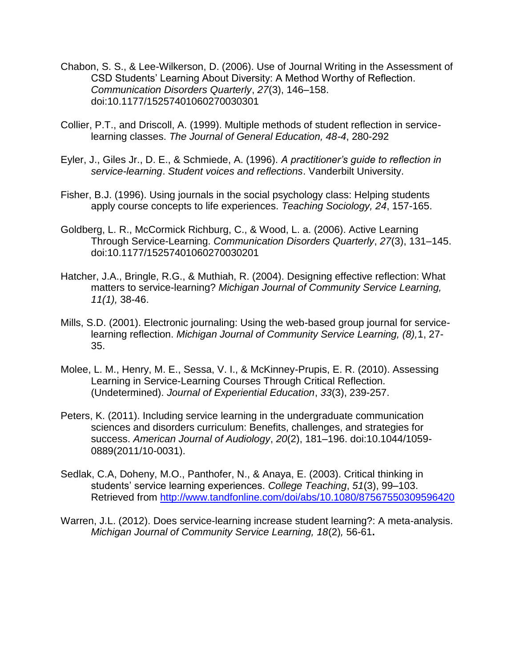- Chabon, S. S., & Lee-Wilkerson, D. (2006). Use of Journal Writing in the Assessment of CSD Students' Learning About Diversity: A Method Worthy of Reflection. *Communication Disorders Quarterly*, *27*(3), 146–158. doi:10.1177/15257401060270030301
- Collier, P.T., and Driscoll, A. (1999). Multiple methods of student reflection in servicelearning classes. *The Journal of General Education, 48-4*, 280-292
- Eyler, J., Giles Jr., D. E., & Schmiede, A. (1996). *A practitioner's guide to reflection in service-learning*. *Student voices and reflections*. Vanderbilt University.
- Fisher, B.J. (1996). Using journals in the social psychology class: Helping students apply course concepts to life experiences. *Teaching Sociology, 24*, 157-165.
- Goldberg, L. R., McCormick Richburg, C., & Wood, L. a. (2006). Active Learning Through Service-Learning. *Communication Disorders Quarterly*, *27*(3), 131–145. doi:10.1177/15257401060270030201
- Hatcher, J.A., Bringle, R.G., & Muthiah, R. (2004). Designing effective reflection: What matters to service-learning? *Michigan Journal of Community Service Learning, 11(1),* 38-46.
- Mills, S.D. (2001). Electronic journaling: Using the web-based group journal for servicelearning reflection. *Michigan Journal of Community Service Learning, (8),*1, 27- 35.
- Molee, L. M., Henry, M. E., Sessa, V. I., & McKinney-Prupis, E. R. (2010). Assessing Learning in Service-Learning Courses Through Critical Reflection. (Undetermined). *Journal of Experiential Education*, *33*(3), 239-257.
- Peters, K. (2011). Including service learning in the undergraduate communication sciences and disorders curriculum: Benefits, challenges, and strategies for success. *American Journal of Audiology*, *20*(2), 181–196. doi:10.1044/1059- 0889(2011/10-0031).
- Sedlak, C.A, Doheny, M.O., Panthofer, N., & Anaya, E. (2003). Critical thinking in students' service learning experiences. *College Teaching*, *51*(3), 99–103. Retrieved from<http://www.tandfonline.com/doi/abs/10.1080/87567550309596420>
- Warren, J.L. (2012). Does service-learning increase student learning?: A meta-analysis. *Michigan Journal of Community Service Learning, 18*(2)*,* 56-61**.**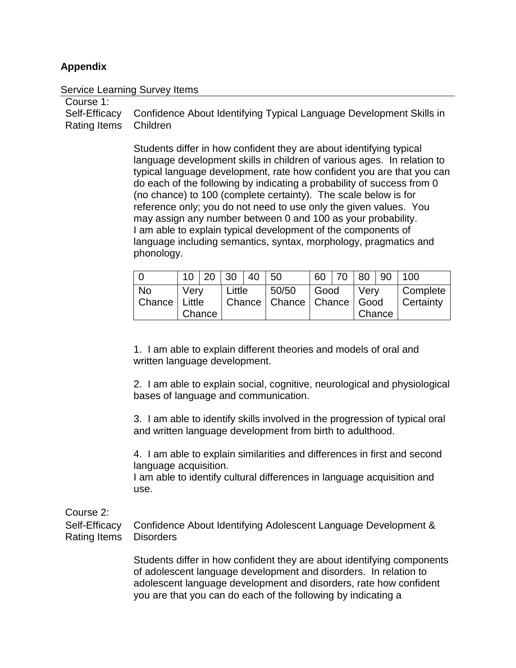## **Appendix**

#### Service Learning Survey Items

| Course 1:             |                                                                                   |
|-----------------------|-----------------------------------------------------------------------------------|
|                       | Self-Efficacy Confidence About Identifying Typical Language Development Skills in |
| Rating Items Children |                                                                                   |

Students differ in how confident they are about identifying typical language development skills in children of various ages. In relation to typical language development, rate how confident you are that you can do each of the following by indicating a probability of success from 0 (no chance) to 100 (complete certainty). The scale below is for reference only; you do not need to use only the given values. You may assign any number between 0 and 100 as your probability. I am able to explain typical development of the components of language including semantics, syntax, morphology, pragmatics and phonology.

|                                |                |  | 10   20   30   40 |  | 50    |                                           | 60   70 | $ 80\rangle$   | $\overline{90}$ | 100                          |
|--------------------------------|----------------|--|-------------------|--|-------|-------------------------------------------|---------|----------------|-----------------|------------------------------|
| <b>No</b><br>  Chance   Little | Very<br>Chance |  | Little            |  | 50/50 | l Good<br>Chance   Chance   Chance   Good |         | Verv<br>Chance |                 | Complete<br><b>Certainty</b> |

1. I am able to explain different theories and models of oral and written language development.

2. I am able to explain social, cognitive, neurological and physiological bases of language and communication.

3. I am able to identify skills involved in the progression of typical oral and written language development from birth to adulthood.

4. I am able to explain similarities and differences in first and second language acquisition.

I am able to identify cultural differences in language acquisition and use.

Course 2:

Self-Efficacy Rating Items Confidence About Identifying Adolescent Language Development & **Disorders** 

> Students differ in how confident they are about identifying components of adolescent language development and disorders. In relation to adolescent language development and disorders, rate how confident you are that you can do each of the following by indicating a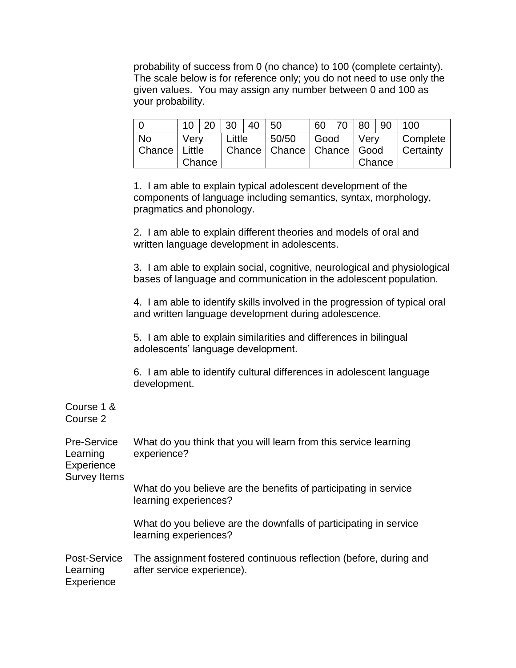probability of success from 0 (no chance) to 100 (complete certainty). The scale below is for reference only; you do not need to use only the given values. You may assign any number between 0 and 100 as your probability.

|                                |      | 10 20  | $\vert$ 30                                  | -40 | 50    |      | 60   70 | 80   | 90     | $\vert$ 100                  |
|--------------------------------|------|--------|---------------------------------------------|-----|-------|------|---------|------|--------|------------------------------|
| <b>No</b><br>  Chance   Little | Verv |        | Little<br>  Chance   Chance   Chance   Good |     | 50/50 | Good |         | Verv |        | Complete<br><b>Certainty</b> |
|                                |      | Chance |                                             |     |       |      |         |      | Chance |                              |

1. I am able to explain typical adolescent development of the components of language including semantics, syntax, morphology, pragmatics and phonology.

2. I am able to explain different theories and models of oral and written language development in adolescents.

3. I am able to explain social, cognitive, neurological and physiological bases of language and communication in the adolescent population.

4. I am able to identify skills involved in the progression of typical oral and written language development during adolescence.

5. I am able to explain similarities and differences in bilingual adolescents' language development.

6. I am able to identify cultural differences in adolescent language development.

Course 1 & Course 2

| <b>Pre-Service</b><br>Learning<br>Experience<br><b>Survey Items</b> | What do you think that you will learn from this service learning<br>experience?                 |
|---------------------------------------------------------------------|-------------------------------------------------------------------------------------------------|
|                                                                     | What do you believe are the benefits of participating in service<br>learning experiences?       |
|                                                                     | What do you believe are the downfalls of participating in service<br>learning experiences?      |
| Post-Service<br>Learning<br>Experience                              | The assignment fostered continuous reflection (before, during and<br>after service experience). |